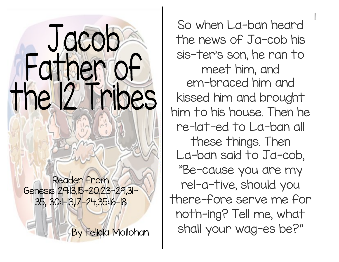## Jacob Father of the 12 Tribes

Reader from Genesis 29:13,15-20,23-29,31- 35, 30:1-13,17-24,35:16-18

By Felicia Mollohan

So when La-ban heard the news of Ja-cob his sis-ter's son, he ran to meet him, and em-braced him and kissed him and brought him to his house. Then he re-lat-ed to La-ban all these things. Then La-ban said to Ja-cob, "Be-cause you are my rel-a-tive, should you there-fore serve me for noth-ing? Tell me, what shall your wag-es be?" |<br>|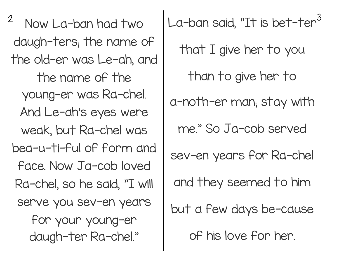daugh-ters; the name of the old-er was Le-ah, and the name of the young-er was Ra-chel. And Le-ah's eyes were weak, but Ra-chel was bea-u-ti-ful of form and face. Now Ja-cob loved Ra-chel, so he said, "I will serve you sev-en years for your young-er daugh-ter Ra-chel."

 $^2$  Now La-ban had two  $\,$   $\,$   $\,$  La-ban said, "It is bet-ter $^3$ that I give her to you than to give her to a-noth-er man; stay with me." So Ja-cob served sev-en years for Ra-chel and they seemed to him but a few days be-cause of his love for her.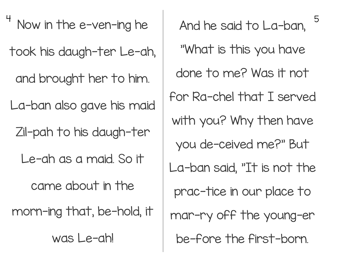Now in the e-ven-ing he  $\,$   $\,$  And he said to La-ban.  $^5$ took his daugh-ter Le-ah, and brought her to him. La-ban also gave his maid Zil-pah to his daugh-ter Le-ah as a maid. So it came about in the morn-ing that, be-hold, it was Le-ah!

And he said to La-ban, "What is this you have done to me? Was it not for Ra-chel that I served with you? Why then have you de-ceived me?" But La-ban said, "It is not the prac-tice in our place to mar-ry off the young-er be-fore the first-born.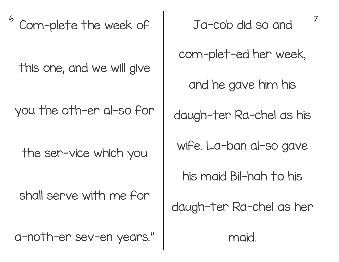6 7 Com-plete the week of

this one, and we will give

you the oth-er al-so for

the ser-vice which you

shall serve with me for

a-noth-er sev-en years."

Ja-cob did so and

com-plet-ed her week,

and he gave him his

daugh-ter Ra-chel as his

wife. La-ban al-so gave

his maid Bil-hah to his

daugh-ter Ra-chel as her

maid.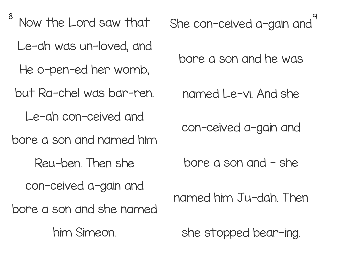$8$  New the lone leave the street  $\sim$  0 Now the Lord saw that Le-ah was un-loved, and He o-pen-ed her womb, but Ra-chel was bar-ren. Le-ah con-ceived and bore a son and named him Reu-ben. Then she con-ceived a-gain and bore a son and she named him Simeon.

She con-ceived a-gain and

bore a son and he was

named Le-vi. And she

con-ceived a-gain and

bore a son and - she

named him Ju-dah. Then

she stopped bear-ing.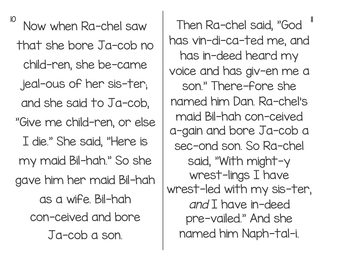10 11 Now when Ra-chel saw that she bore Ja-cob no child-ren, she be-came jeal-ous of her sis-ter; and she said to Ja-cob, "Give me child-ren, or else I die." She said, "Here is my maid Bil-hah." So she gave him her maid Bil-hah as a wife. Bil-hah con-ceived and bore Ja-cob a son.

Then Ra-chel said, "God has vin-di-ca-ted me, and has in-deed heard my voice and has giv-en me a son." There-fore she named him Dan. Ra-chel's maid Bil-hah con-ceived a-gain and bore Ja-cob a sec-ond son. So Ra-chel said, "With might-y wrest-lings I have wrest-led with my sis-ter, and I have in-deed pre-vailed." And she named him Naph-tal-i.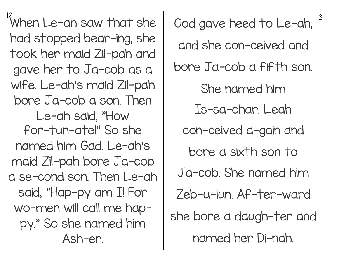$\frac{12}{100}$  and  $\frac{1}{100}$  and  $\frac{1}{100}$  and  $\frac{1}{100}$  and  $\frac{1}{100}$  and  $\frac{1}{100}$  and  $\frac{13}{100}$ When Le-ah saw that she had stopped bear-ing, she took her maid Zil-pah and gave her to Ja-cob as a wife. Le-ah's maid Zil-pah bore Ja-cob a son. Then Le-ah said, "How for-tun-ate!" So she named him Gad. Le-ah's maid Zil-pah bore Ja-cob a se-cond son. Then Le-ah said, "Hap-py am I! For wo-men will call me happy." So she named him Ash-er.

God gave heed to Le-ah, and she con-ceived and bore Ja-cob a fifth son. She named him Is-sa-char. Leah con-ceived a-gain and bore a sixth son to Ja-cob. She named him Zeb-u-lun. Af-ter-ward she bore a daugh-ter and named her Di-nah.